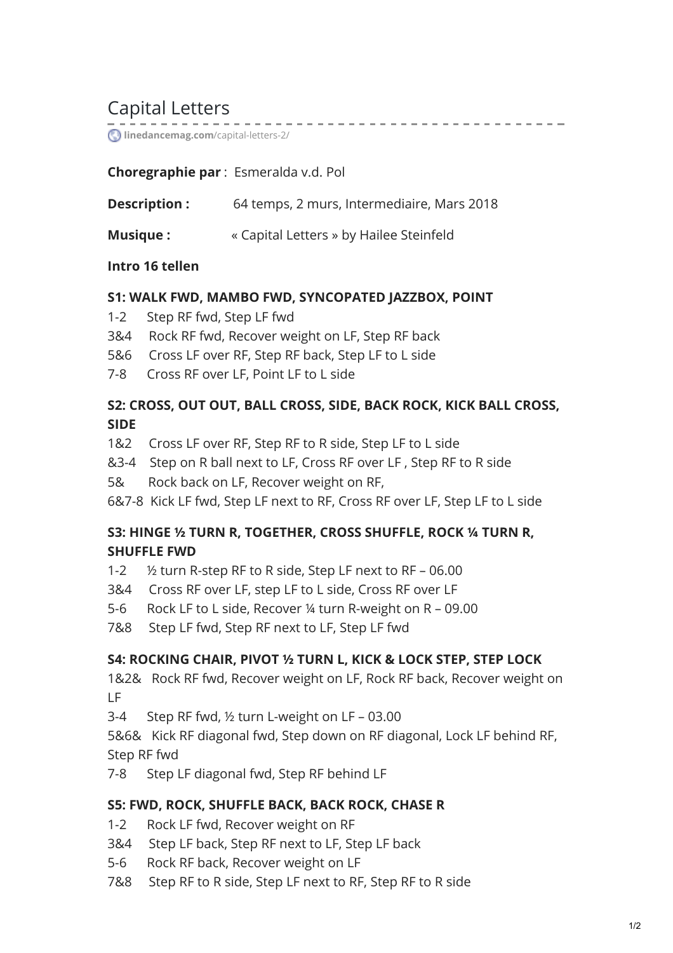# Capital Letters

**[linedancemag.com](https://www.linedancemag.com/capital-letters-2/)**/capital-letters-2/

## **Choregraphie par** : Esmeralda v.d. Pol

**Description :** 64 temps, 2 murs, Intermediaire, Mars 2018

. . . . . . . . . . . . . . . .

**Musique :** « Capital Letters » by Hailee Steinfeld

### **Intro 16 tellen**

### **S1: WALK FWD, MAMBO FWD, SYNCOPATED JAZZBOX, POINT**

- 1-2 Step RF fwd, Step LF fwd
- 3&4 Rock RF fwd, Recover weight on LF, Step RF back
- 5&6 Cross LF over RF, Step RF back, Step LF to L side
- 7-8 Cross RF over LF, Point LF to L side

# **S2: CROSS, OUT OUT, BALL CROSS, SIDE, BACK ROCK, KICK BALL CROSS, SIDE**

- 1&2 Cross LF over RF, Step RF to R side, Step LF to L side
- &3-4 Step on R ball next to LF, Cross RF over LF , Step RF to R side
- 5& Rock back on LF, Recover weight on RF,

6&7-8 Kick LF fwd, Step LF next to RF, Cross RF over LF, Step LF to L side

## **S3: HINGE ½ TURN R, TOGETHER, CROSS SHUFFLE, ROCK ¼ TURN R, SHUFFLE FWD**

- 1-2 ½ turn R-step RF to R side, Step LF next to RF 06.00
- 3&4 Cross RF over LF, step LF to L side, Cross RF over LF
- 5-6 Rock LF to L side, Recover ¼ turn R-weight on R 09.00
- 7&8 Step LF fwd, Step RF next to LF, Step LF fwd

# **S4: ROCKING CHAIR, PIVOT ½ TURN L, KICK & LOCK STEP, STEP LOCK**

1&2& Rock RF fwd, Recover weight on LF, Rock RF back, Recover weight on LF

3-4 Step RF fwd, ½ turn L-weight on LF – 03.00

5&6& Kick RF diagonal fwd, Step down on RF diagonal, Lock LF behind RF, Step RF fwd

7-8 Step LF diagonal fwd, Step RF behind LF

### **S5: FWD, ROCK, SHUFFLE BACK, BACK ROCK, CHASE R**

- 1-2 Rock LF fwd, Recover weight on RF
- 3&4 Step LF back, Step RF next to LF, Step LF back
- 5-6 Rock RF back, Recover weight on LF
- 7&8 Step RF to R side, Step LF next to RF, Step RF to R side